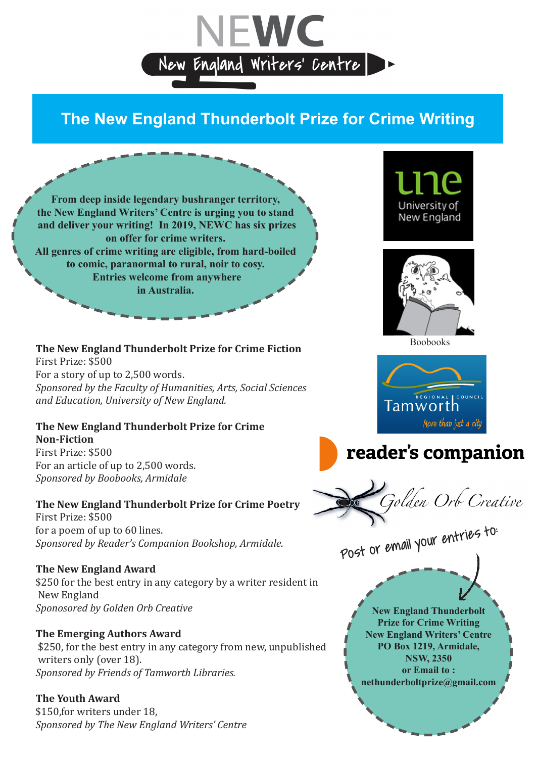

# **The New England Thunderbolt Prize for Crime Writing**

**From deep inside legendary bushranger territory, the New England Writers' Centre is urging you to stand and deliver your writing! In 2019, NEWC has six prizes on offer for crime writers. All genres of crime writing are eligible, from hard-boiled to comic, paranormal to rural, noir to cosy. Entries welcome from anywhere in Australia.**

#### **The New England Thunderbolt Prize for Crime Fiction** First Prize: \$500 For a story of up to 2,500 words. *Sponsored by the Faculty of Humanities, Arts, Social Sciences and Education, University of New England.*

#### **The New England Thunderbolt Prize for Crime Non-Fiction** First Prize: \$500 For an article of up to 2,500 words.

*Sponsored by Boobooks, Armidale*

## **The New England Thunderbolt Prize for Crime Poetry**

First Prize: \$500 for a poem of up to 60 lines. *Sponsored by Reader's Companion Bookshop, Armidale.* 

## **The New England Award**

\$250 for the best entry in any category by a writer resident in New England *Sponosored by Golden Orb Creative*

## **The Emerging Authors Award**

 \$250, for the best entry in any category from new, unpublished writers only (over 18). *Sponsored by Friends of Tamworth Libraries.*

## **The Youth Award**

\$150,for writers under 18, *Sponsored by The New England Writers' Centre*









.<br>Jolden Orb Creative

Post or email your entries to: